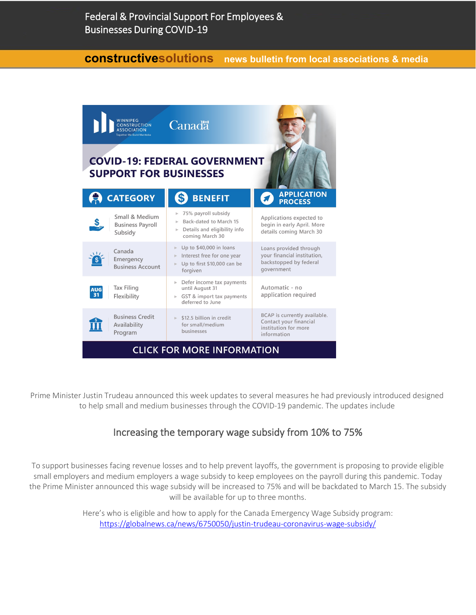## **constructivesolutions news bulletin from local associations & media**



Prime Minister Justin Trudeau announced this week updates to several measures he had previously introduced designed to help small and medium businesses through the COVID-19 pandemic. The updates include

# Increasing the temporary wage subsidy from 10% to 75%

To support businesses facing revenue losses and to help prevent layoffs, the government is proposing to provide eligible small employers and medium employers a wage subsidy to keep employees on the payroll during this pandemic. Today the Prime Minister announced this wage subsidy will be increased to 75% and will be backdated to March 15. The subsidy will be available for up to three months.

> Here's who is eligible and how to apply for the Canada Emergency Wage Subsidy program: <https://globalnews.ca/news/6750050/justin-trudeau-coronavirus-wage-subsidy/>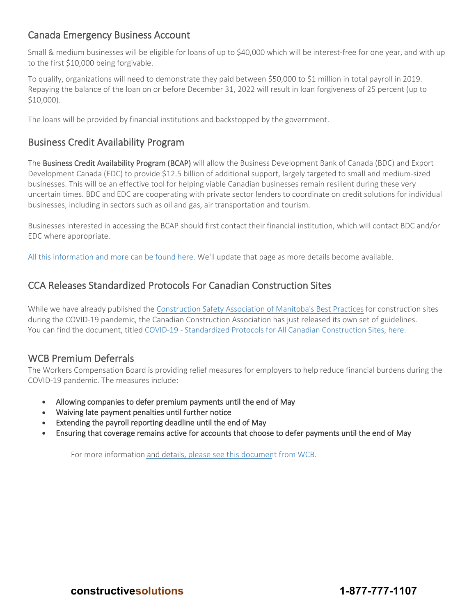# Canada Emergency Business Account

Small & medium businesses will be eligible for loans of up to \$40,000 which will be interest-free for one year, and with up to the first \$10,000 being forgivable.

To qualify, organizations will need to demonstrate they paid between \$50,000 to \$1 million in total payroll in 2019. Repaying the balance of the loan on or before December 31, 2022 will result in loan forgiveness of 25 percent (up to \$10,000).

The loans will be provided by financial institutions and backstopped by the government.

# Business Credit Availability Program

The Business Credit Availability Program (BCAP) will allow the Business Development Bank of Canada (BDC) and Export Development Canada (EDC) to provide \$12.5 billion of additional support, largely targeted to small and medium-sized businesses. This will be an effective tool for helping viable Canadian businesses remain resilient during these very uncertain times. BDC and EDC are cooperating with private sector lenders to coordinate on credit solutions for individual businesses, including in sectors such as oil and gas, air transportation and tourism.

Businesses interested in accessing the BCAP should first contact their financial institution, which will contact BDC and/or EDC where appropriate.

[All this information and more can be found here.](https://www.togetherwebuild.ca/gvmt-programs) We'll update that page as more details become available.

## CCA Releases Standardized Protocols For Canadian Construction Sites

While we have already published the [Construction Safety Association of Manitoba's Best Practices](https://www.constructionsafety.ca/covid-19-prevention-best-practices-for-construction-sites/) for construction sites during the COVID-19 pandemic, the Canadian Construction Association has just released its own set of guidelines. You can find the document, titled [COVID-19 - Standardized Protocols for All Canadian Construction Sites, here.](https://mcusercontent.com/d4a3ed65a1/files/a24db7c1-5863-4e76-93aa-030d810e7982/CCA_COVID_19_Standardized_Protocols_for_All_Canadian_Construction_Sites_03_26_20.pdf)

#### WCB Premium Deferrals

The Workers Compensation Board is providing relief measures for employers to help reduce financial burdens during the COVID-19 pandemic. The measures include:

- Allowing companies to defer premium payments until the end of May
- Waiving late payment penalties until further notice
- Extending the payroll reporting deadline until the end of May
- Ensuring that coverage remains active for accounts that choose to defer payments until the end of May

For more information and details, [please see this document](https://winnipegconstruction.ca/files/Payment%20relief%20for%20emplyrs_FINAL.pdf) from WCB.